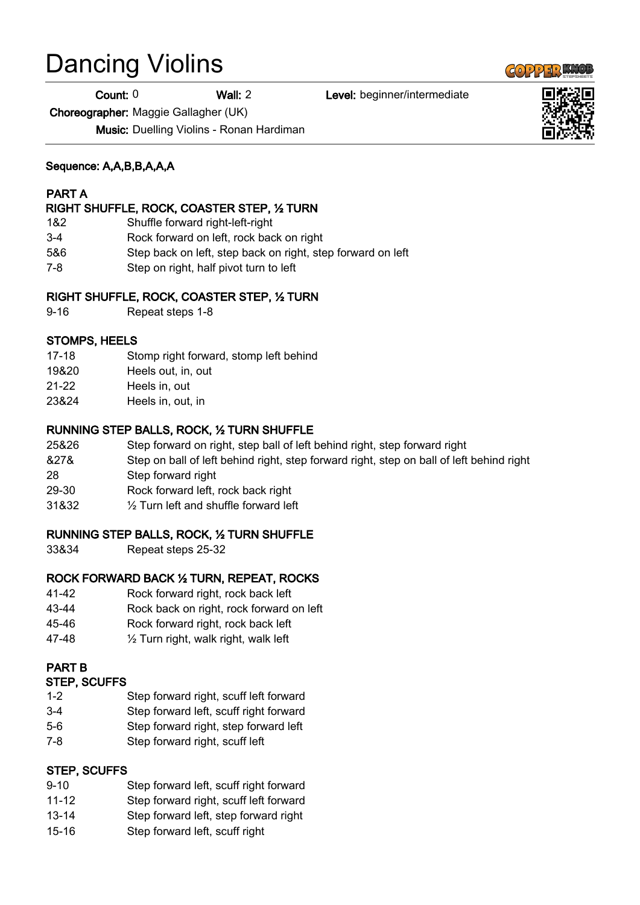# Dancing Violins

Count: 0 Wall: 2 Level: beginner/intermediate

Choreographer: Maggie Gallagher (UK)

Music: Duelling Violins - Ronan Hardiman

## Sequence: A,A,B,B,A,A,A

# PART A

## RIGHT SHUFFLE, ROCK, COASTER STEP, ½ TURN

- 1&2 Shuffle forward right-left-right
- 3-4 Rock forward on left, rock back on right
- 5&6 Step back on left, step back on right, step forward on left
- 7-8 Step on right, half pivot turn to left

## RIGHT SHUFFLE, ROCK, COASTER STEP, ½ TURN

9-16 Repeat steps 1-8

# STOMPS, HEELS

- 17-18 Stomp right forward, stomp left behind
- 19&20 Heels out, in, out
- 21-22 Heels in, out
- 23&24 Heels in, out, in

# RUNNING STEP BALLS, ROCK, ½ TURN SHUFFLE

- 25&26 Step forward on right, step ball of left behind right, step forward right
- &27& Step on ball of left behind right, step forward right, step on ball of left behind right
- 28 Step forward right
- 29-30 Rock forward left, rock back right
- 31&32 ½ Turn left and shuffle forward left

# RUNNING STEP BALLS, ROCK, ½ TURN SHUFFLE

33&34 Repeat steps 25-32

# ROCK FORWARD BACK ½ TURN, REPEAT, ROCKS

- 41-42 Rock forward right, rock back left
- 43-44 Rock back on right, rock forward on left
- 45-46 Rock forward right, rock back left
- 47-48 ½ Turn right, walk right, walk left

# PART B

#### STEP, SCUFFS

- 1-2 Step forward right, scuff left forward
- 3-4 Step forward left, scuff right forward
- 5-6 Step forward right, step forward left
- 7-8 Step forward right, scuff left

# STEP, SCUFFS

- 9-10 Step forward left, scuff right forward 11-12 Step forward right, scuff left forward
- 13-14 Step forward left, step forward right
- 15-16 Step forward left, scuff right